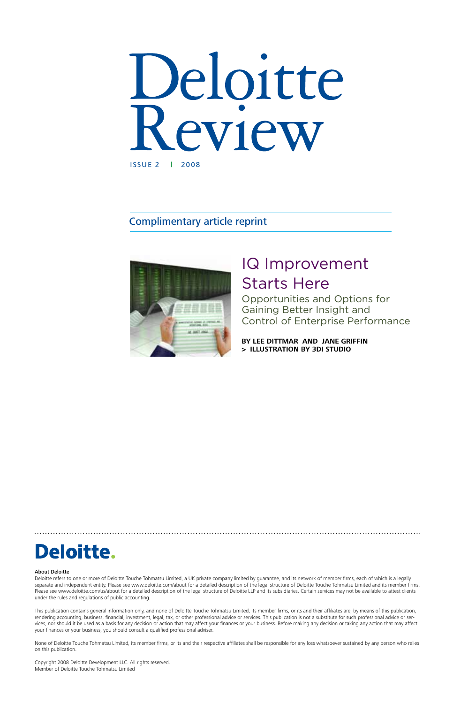

# Complimentary article reprint



# IQ Improvement Starts Here

Opportunities and Options for Gaining Better Insight and Control of Enterprise Performance

**BY Lee Dittmar AND Jane Griffin > ILLUSTRATION BY 3di studio**

# **Deloitte.**

#### About Deloitte

Deloitte refers to one or more of Deloitte Touche Tohmatsu Limited, a UK private company limited by guarantee, and its network of member firms, each of which is a legally separate and independent entity. Please see www.deloitte.com/about for a detailed description of the legal structure of Deloitte Touche Tohmatsu Limited and its member firms. Please see www.deloitte.com/us/about for a detailed description of the legal structure of Deloitte LLP and its subsidiaries. Certain services may not be available to attest clients under the rules and regulations of public accounting.

This publication contains general information only, and none of Deloitte Touche Tohmatsu Limited, its member firms, or its and their affiliates are, by means of this publication, rendering accounting, business, financial, investment, legal, tax, or other professional advice or services. This publication is not a substitute for such professional advice or services, nor should it be used as a basis for any decision or action that may affect your finances or your business. Before making any decision or taking any action that may affect your finances or your business, you should consult a qualified professional adviser.

None of Deloitte Touche Tohmatsu Limited, its member firms, or its and their respective affiliates shall be responsible for any loss whatsoever sustained by any person who relies on this publication.

Copyright 2008 Deloitte Development LLC. All rights reserved. Member of Deloitte Touche Tohmatsu Limited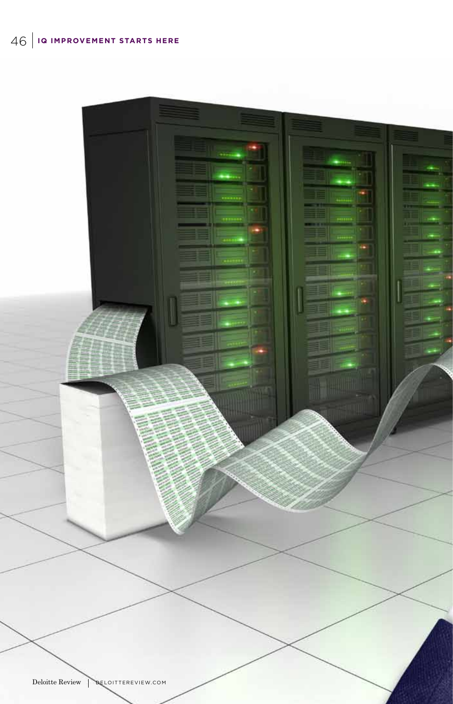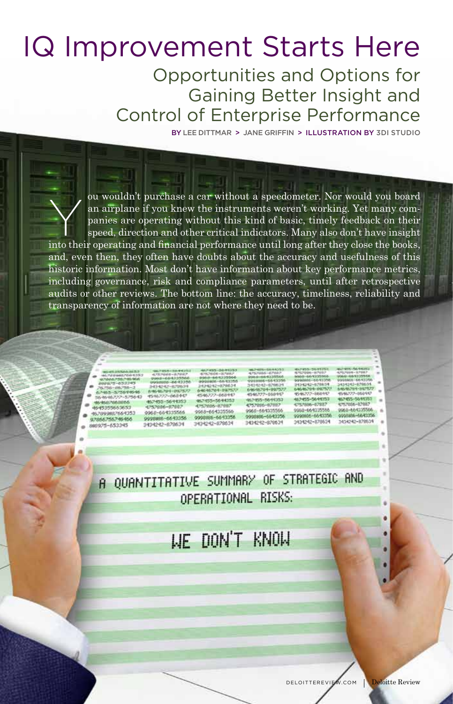# IQ Improvement Starts Here Opportunities and Options for Gaining Better Insight and Control of Enterprise Performance

BY Lee Dittmar > Jane Griffin > ILLUSTRATION BY 3di studio

ou wouldn't purchase a car without a speedometer. Nor would you board<br>an airplane if you knew the instruments weren't working. Yet many com-<br>panies are operating without this kind of basic, timely feedback on their<br>speed, an airplane if you knew the instruments weren't working. Yet many companies are operating without this kind of basic, timely feedback on their speed, direction and other critical indicators. Many also don't have insight into their operating and financial performance until long after they close the books, and, even then, they often have doubts about the accuracy and usefulness of this historic information. Most don't have information about key performance metrics, including governance, risk and compliance parameters, until after retrospective audits or other reviews. The bottom line: the accuracy, timeliness, reliability and transparency of information are not where they need to be.

10088800 15355663653 16789987661353 00925-653345

124242-070531<br>4646764-097577 **CARGAN-SET ARM** 4546222-868443 457-155-5644353 467455-5644353 4252006  $-8788$ 9968-664335566 9968-664335560 9998886-6643356 9998086-6643356 3434242-828634 3434242-878634

06413556<br>16-00133 3434242-020631<br>64646264-99252<br>4546227-069442 02099-020-020 4757006-07007 9968-664335566 0008886-6643356 1414242-878634

62455-5644353 4757886-67887 9958-664335566<br>999866-6643356 3434242-878634

107133-304133 068-664335566 0008806-66433 3434242-878634

A QUANTITATIVE SUMMARY OF STRATEGIC AND OPERATIONAL RISKS:

LIE DON'T KNOW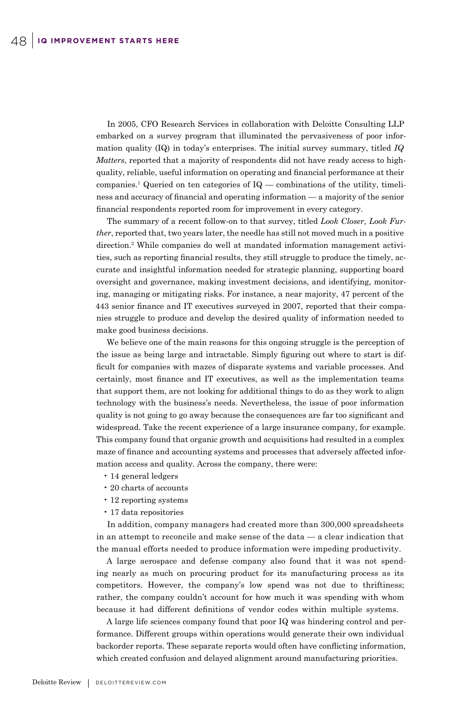In 2005, CFO Research Services in collaboration with Deloitte Consulting LLP embarked on a survey program that illuminated the pervasiveness of poor information quality (IQ) in today's enterprises. The initial survey summary, titled *IQ Matters*, reported that a majority of respondents did not have ready access to highquality, reliable, useful information on operating and financial performance at their companies.<sup>1</sup> Queried on ten categories of  $IQ$  — combinations of the utility, timeliness and accuracy of financial and operating information — a majority of the senior financial respondents reported room for improvement in every category.

The summary of a recent follow-on to that survey, titled *Look Closer, Look Further*, reported that, two years later, the needle has still not moved much in a positive direction.<sup>2</sup> While companies do well at mandated information management activities, such as reporting financial results, they still struggle to produce the timely, accurate and insightful information needed for strategic planning, supporting board oversight and governance, making investment decisions, and identifying, monitoring, managing or mitigating risks. For instance, a near majority, 47 percent of the 443 senior finance and IT executives surveyed in 2007, reported that their companies struggle to produce and develop the desired quality of information needed to make good business decisions.

We believe one of the main reasons for this ongoing struggle is the perception of the issue as being large and intractable. Simply figuring out where to start is difficult for companies with mazes of disparate systems and variable processes. And certainly, most finance and IT executives, as well as the implementation teams that support them, are not looking for additional things to do as they work to align technology with the business's needs. Nevertheless, the issue of poor information quality is not going to go away because the consequences are far too significant and widespread. Take the recent experience of a large insurance company, for example. This company found that organic growth and acquisitions had resulted in a complex maze of finance and accounting systems and processes that adversely affected information access and quality. Across the company, there were:

- 14 general ledgers
- 20 charts of accounts
- 12 reporting systems
- 17 data repositories

In addition, company managers had created more than 300,000 spreadsheets in an attempt to reconcile and make sense of the data — a clear indication that the manual efforts needed to produce information were impeding productivity.

A large aerospace and defense company also found that it was not spending nearly as much on procuring product for its manufacturing process as its competitors. However, the company's low spend was not due to thriftiness; rather, the company couldn't account for how much it was spending with whom because it had different definitions of vendor codes within multiple systems.

A large life sciences company found that poor IQ was hindering control and performance. Different groups within operations would generate their own individual backorder reports. These separate reports would often have conflicting information, which created confusion and delayed alignment around manufacturing priorities.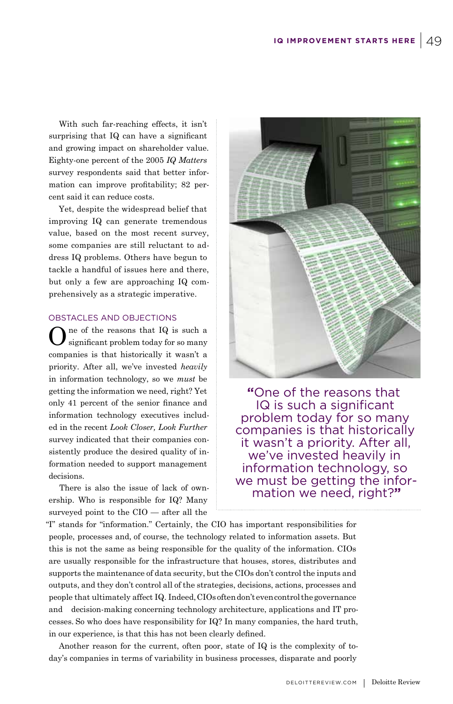With such far-reaching effects, it isn't surprising that IQ can have a significant and growing impact on shareholder value. Eighty-one percent of the 2005 *IQ Matters* survey respondents said that better information can improve profitability; 82 percent said it can reduce costs.

Yet, despite the widespread belief that improving IQ can generate tremendous value, based on the most recent survey, some companies are still reluctant to address IQ problems. Others have begun to tackle a handful of issues here and there, but only a few are approaching IQ comprehensively as a strategic imperative.

### Obstacles and Objections

 $\bigodot$  ne of the reasons that IQ is such a significant problem today for so many companies is that historically it wasn't a priority. After all, we've invested *heavily* in information technology, so we *must* be getting the information we need, right? Yet only 41 percent of the senior finance and information technology executives included in the recent *Look Closer, Look Further* survey indicated that their companies consistently produce the desired quality of information needed to support management decisions.

There is also the issue of lack of ownership. Who is responsible for IQ? Many surveyed point to the CIO — after all the



**"**One of the reasons that IQ is such a significant problem today for so many companies is that historically it wasn't a priority. After all, we've invested heavily in information technology, so we must be getting the information we need, right?**"**

"I" stands for "information." Certainly, the CIO has important responsibilities for people, processes and, of course, the technology related to information assets. But this is not the same as being responsible for the quality of the information. CIOs are usually responsible for the infrastructure that houses, stores, distributes and supports the maintenance of data security, but the CIOs don't control the inputs and outputs, and they don't control all of the strategies, decisions, actions, processes and people that ultimately affect IQ. Indeed, CIOs often don't even control the governance and decision-making concerning technology architecture, applications and IT processes. So who does have responsibility for IQ? In many companies, the hard truth, in our experience, is that this has not been clearly defined.

Another reason for the current, often poor, state of IQ is the complexity of today's companies in terms of variability in business processes, disparate and poorly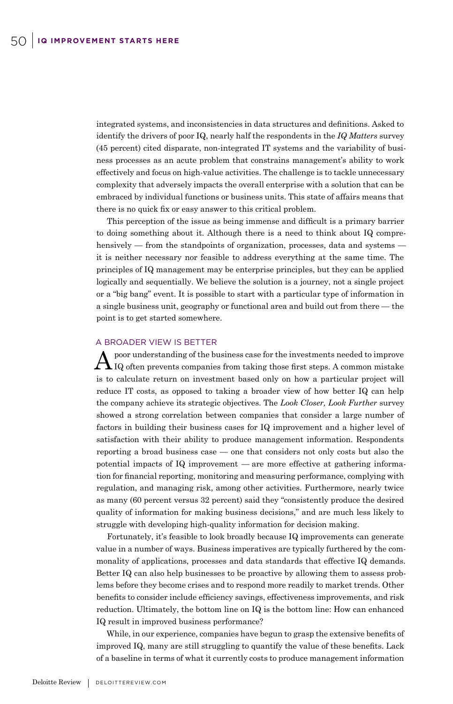integrated systems, and inconsistencies in data structures and definitions. Asked to identify the drivers of poor IQ, nearly half the respondents in the *IQ Matters* survey (45 percent) cited disparate, non-integrated IT systems and the variability of business processes as an acute problem that constrains management's ability to work effectively and focus on high-value activities. The challenge is to tackle unnecessary complexity that adversely impacts the overall enterprise with a solution that can be embraced by individual functions or business units. This state of affairs means that there is no quick fix or easy answer to this critical problem.

This perception of the issue as being immense and difficult is a primary barrier to doing something about it. Although there is a need to think about IQ comprehensively — from the standpoints of organization, processes, data and systems it is neither necessary nor feasible to address everything at the same time. The principles of IQ management may be enterprise principles, but they can be applied logically and sequentially. We believe the solution is a journey, not a single project or a "big bang" event. It is possible to start with a particular type of information in a single business unit, geography or functional area and build out from there — the point is to get started somewhere.

### A Broader View is Better

poor understanding of the business case for the investments needed to improve  $\blacktriangleright$  IQ often prevents companies from taking those first steps. A common mistake is to calculate return on investment based only on how a particular project will reduce IT costs, as opposed to taking a broader view of how better IQ can help the company achieve its strategic objectives. The *Look Closer, Look Further* survey showed a strong correlation between companies that consider a large number of factors in building their business cases for IQ improvement and a higher level of satisfaction with their ability to produce management information. Respondents reporting a broad business case — one that considers not only costs but also the potential impacts of IQ improvement — are more effective at gathering information for financial reporting, monitoring and measuring performance, complying with regulation, and managing risk, among other activities. Furthermore, nearly twice as many (60 percent versus 32 percent) said they "consistently produce the desired quality of information for making business decisions," and are much less likely to struggle with developing high-quality information for decision making.

Fortunately, it's feasible to look broadly because IQ improvements can generate value in a number of ways. Business imperatives are typically furthered by the commonality of applications, processes and data standards that effective IQ demands. Better IQ can also help businesses to be proactive by allowing them to assess problems before they become crises and to respond more readily to market trends. Other benefits to consider include efficiency savings, effectiveness improvements, and risk reduction. Ultimately, the bottom line on IQ is the bottom line: How can enhanced IQ result in improved business performance?

While, in our experience, companies have begun to grasp the extensive benefits of improved IQ, many are still struggling to quantify the value of these benefits. Lack of a baseline in terms of what it currently costs to produce management information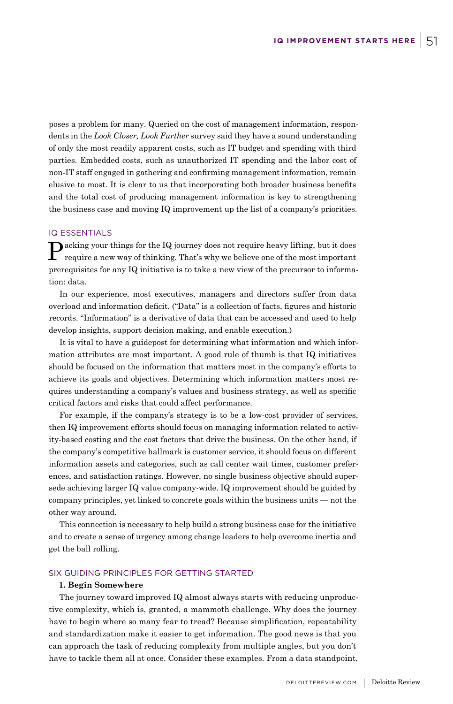poses a problem for many. Queried on the cost of management information, respondents in the *Look Closer, Look Further* survey said they have a sound understanding of only the most readily apparent costs, such as IT budget and spending with third parties. Embedded costs, such as unauthorized IT spending and the labor cost of non-IT staff engaged in gathering and confirming management information, remain elusive to most. It is clear to us that incorporating both broader business benefits and the total cost of producing management information is key to strengthening the business case and moving IQ improvement up the list of a company's priorities.

### **IQ ESSENTIALS**

**Packing your things for the IQ journey does not require heavy lifting, but it does** require a new way of thinking. That's why we believe one of the most important prerequisites for any IQ initiative is to take a new view of the precursor to information: data.

In our experience, most executives, managers and directors suffer from data overload and information deficit. ("Data" is a collection of facts, figures and historic records. "Information" is a derivative of data that can be accessed and used to help develop insights, support decision making, and enable execution.)

It is vital to have a guidepost for determining what information and which information attributes are most important. A good rule of thumb is that IQ initiatives should be focused on the information that matters most in the company's efforts to achieve its goals and objectives. Determining which information matters most requires understanding a company's values and business strategy, as well as specific critical factors and risks that could affect performance.

For example, if the company's strategy is to be a low-cost provider of services, then IQ improvement efforts should focus on managing information related to activity-based costing and the cost factors that drive the business. On the other hand, if the company's competitive hallmark is customer service, it should focus on different information assets and categories, such as call center wait times, customer preferences, and satisfaction ratings. However, no single business objective should supersede achieving larger IQ value company-wide. IQ improvement should be guided by company principles, yet linked to concrete goals within the business units — not the other way around.

This connection is necessary to help build a strong business case for the initiative and to create a sense of urgency among change leaders to help overcome inertia and get the ball rolling.

# Six Guiding Principles for Getting Started

### **1. Begin Somewhere**

The journey toward improved IQ almost always starts with reducing unproductive complexity, which is, granted, a mammoth challenge. Why does the journey have to begin where so many fear to tread? Because simplification, repeatability and standardization make it easier to get information. The good news is that you can approach the task of reducing complexity from multiple angles, but you don't have to tackle them all at once. Consider these examples. From a data standpoint,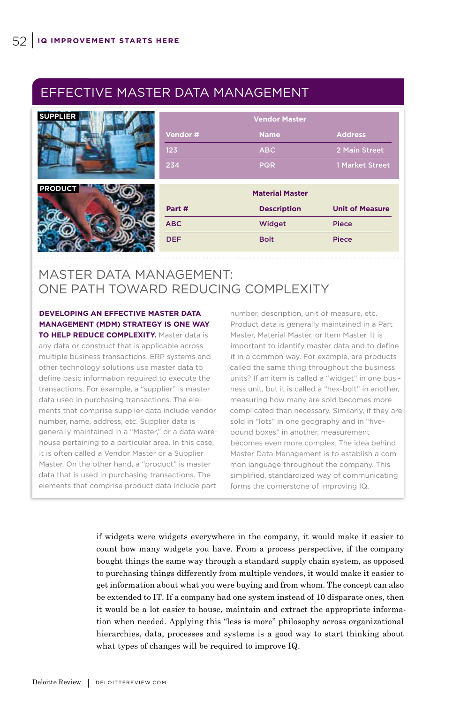# effective master data management



# Master Data Management: ONE PATH TOWARD REDUCING COMPI EXITY

## **Developing an effective master data management (MDM) strategy is one way TO HELP REDUCE COMPLEXITY.** Master data is

any data or construct that is applicable across multiple business transactions. ERP systems and other technology solutions use master data to define basic information required to execute the transactions. For example, a "supplier" is master data used in purchasing transactions. The elements that comprise supplier data include vendor number, name, address, etc. Supplier data is generally maintained in a "Master," or a data warehouse pertaining to a particular area. In this case, it is often called a Vendor Master or a Supplier Master. On the other hand, a "product" is master data that is used in purchasing transactions. The elements that comprise product data include part number, description, unit of measure, etc. Product data is generally maintained in a Part Master, Material Master, or Item Master. It is important to identify master data and to define it in a common way. For example, are products called the same thing throughout the business units? If an item is called a "widget" in one business unit, but it is called a "hex-bolt" in another, measuring how many are sold becomes more complicated than necessary. Similarly, if they are sold in "lots" in one geography and in "fivepound boxes" in another, measurement becomes even more complex. The idea behind Master Data Management is to establish a common language throughout the company. This simplified, standardized way of communicating forms the cornerstone of improving IQ.

if widgets were widgets everywhere in the company, it would make it easier to count how many widgets you have. From a process perspective, if the company bought things the same way through a standard supply chain system, as opposed to purchasing things differently from multiple vendors, it would make it easier to get information about what you were buying and from whom. The concept can also be extended to IT. If a company had one system instead of 10 disparate ones, then it would be a lot easier to house, maintain and extract the appropriate information when needed. Applying this "less is more" philosophy across organizational hierarchies, data, processes and systems is a good way to start thinking about what types of changes will be required to improve IQ.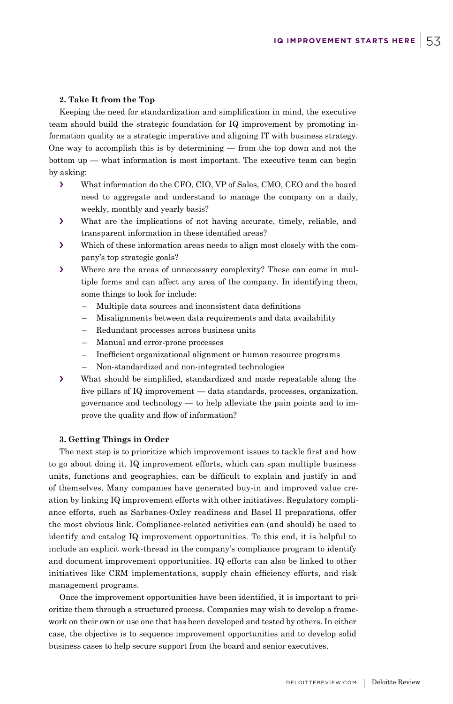# **2. Take It from the Top**

Keeping the need for standardization and simplification in mind, the executive team should build the strategic foundation for IQ improvement by promoting information quality as a strategic imperative and aligning IT with business strategy. One way to accomplish this is by determining — from the top down and not the bottom up — what information is most important. The executive team can begin by asking:

- › What information do the CFO, CIO, VP of Sales, CMO, CEO and the board need to aggregate and understand to manage the company on a daily, weekly, monthly and yearly basis?
- › What are the implications of not having accurate, timely, reliable, and transparent information in these identified areas?
- › Which of these information areas needs to align most closely with the company's top strategic goals?
- › Where are the areas of unnecessary complexity? These can come in multiple forms and can affect any area of the company. In identifying them, some things to look for include:
	- Multiple data sources and inconsistent data definitions
	- Misalignments between data requirements and data availability
	- Redundant processes across business units
	- Manual and error-prone processes
	- Inefficient organizational alignment or human resource programs
	- Non-standardized and non-integrated technologies
- › What should be simplified, standardized and made repeatable along the five pillars of IQ improvement — data standards, processes, organization, governance and technology — to help alleviate the pain points and to improve the quality and flow of information?

### **3. Getting Things in Order**

The next step is to prioritize which improvement issues to tackle first and how to go about doing it. IQ improvement efforts, which can span multiple business units, functions and geographies, can be difficult to explain and justify in and of themselves. Many companies have generated buy-in and improved value creation by linking IQ improvement efforts with other initiatives. Regulatory compliance efforts, such as Sarbanes-Oxley readiness and Basel II preparations, offer the most obvious link. Compliance-related activities can (and should) be used to identify and catalog IQ improvement opportunities. To this end, it is helpful to include an explicit work-thread in the company's compliance program to identify and document improvement opportunities. IQ efforts can also be linked to other initiatives like CRM implementations, supply chain efficiency efforts, and risk management programs.

Once the improvement opportunities have been identified, it is important to prioritize them through a structured process. Companies may wish to develop a framework on their own or use one that has been developed and tested by others. In either case, the objective is to sequence improvement opportunities and to develop solid business cases to help secure support from the board and senior executives.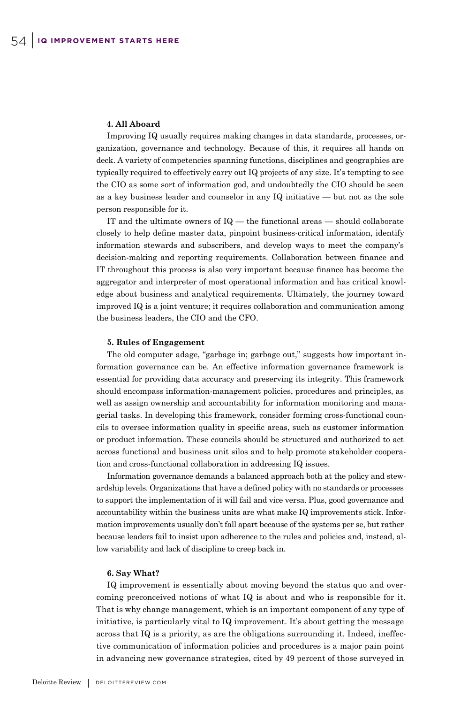#### **4. All Aboard**

Improving IQ usually requires making changes in data standards, processes, organization, governance and technology. Because of this, it requires all hands on deck. A variety of competencies spanning functions, disciplines and geographies are typically required to effectively carry out IQ projects of any size. It's tempting to see the CIO as some sort of information god, and undoubtedly the CIO should be seen as a key business leader and counselor in any IQ initiative — but not as the sole person responsible for it.

IT and the ultimate owners of  $IQ$  — the functional areas — should collaborate closely to help define master data, pinpoint business-critical information, identify information stewards and subscribers, and develop ways to meet the company's decision-making and reporting requirements. Collaboration between finance and IT throughout this process is also very important because finance has become the aggregator and interpreter of most operational information and has critical knowledge about business and analytical requirements. Ultimately, the journey toward improved IQ is a joint venture; it requires collaboration and communication among the business leaders, the CIO and the CFO.

#### **5. Rules of Engagement**

The old computer adage, "garbage in; garbage out," suggests how important information governance can be. An effective information governance framework is essential for providing data accuracy and preserving its integrity. This framework should encompass information-management policies, procedures and principles, as well as assign ownership and accountability for information monitoring and managerial tasks. In developing this framework, consider forming cross-functional councils to oversee information quality in specific areas, such as customer information or product information. These councils should be structured and authorized to act across functional and business unit silos and to help promote stakeholder cooperation and cross-functional collaboration in addressing IQ issues.

Information governance demands a balanced approach both at the policy and stewardship levels. Organizations that have a defined policy with no standards or processes to support the implementation of it will fail and vice versa. Plus, good governance and accountability within the business units are what make IQ improvements stick. Information improvements usually don't fall apart because of the systems per se, but rather because leaders fail to insist upon adherence to the rules and policies and, instead, allow variability and lack of discipline to creep back in.

### **6. Say What?**

IQ improvement is essentially about moving beyond the status quo and overcoming preconceived notions of what IQ is about and who is responsible for it. That is why change management, which is an important component of any type of initiative, is particularly vital to IQ improvement. It's about getting the message across that IQ is a priority, as are the obligations surrounding it. Indeed, ineffective communication of information policies and procedures is a major pain point in advancing new governance strategies, cited by 49 percent of those surveyed in